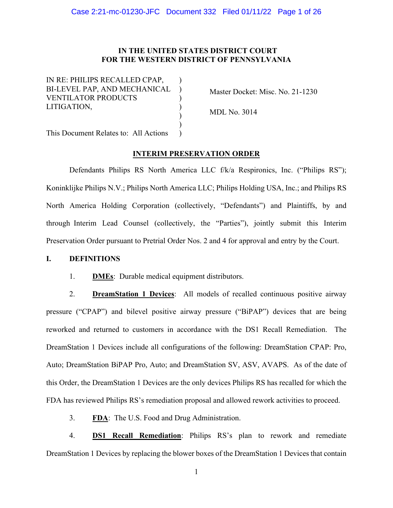### **IN THE UNITED STATES DISTRICT COURT FOR THE WESTERN DISTRICT OF PENNSYLVANIA**

)  $\mathcal{L}$ ) ) ) ) )

IN RE: PHILIPS RECALLED CPAP, BI-LEVEL PAP, AND MECHANICAL VENTILATOR PRODUCTS LITIGATION,

Master Docket: Misc. No. 21-1230

MDL No. 3014

This Document Relates to: All Actions

## **INTERIM PRESERVATION ORDER**

Defendants Philips RS North America LLC f/k/a Respironics, Inc. ("Philips RS"); Koninklijke Philips N.V.; Philips North America LLC; Philips Holding USA, Inc.; and Philips RS North America Holding Corporation (collectively, "Defendants") and Plaintiffs, by and through Interim Lead Counsel (collectively, the "Parties"), jointly submit this Interim Preservation Order pursuant to Pretrial Order Nos. 2 and 4 for approval and entry by the Court.

#### **I. DEFINITIONS**

1. **DMEs**: Durable medical equipment distributors.

2. **DreamStation 1 Devices**: All models of recalled continuous positive airway pressure ("CPAP") and bilevel positive airway pressure ("BiPAP") devices that are being reworked and returned to customers in accordance with the DS1 Recall Remediation. The DreamStation 1 Devices include all configurations of the following: DreamStation CPAP: Pro, Auto; DreamStation BiPAP Pro, Auto; and DreamStation SV, ASV, AVAPS. As of the date of this Order, the DreamStation 1 Devices are the only devices Philips RS has recalled for which the FDA has reviewed Philips RS's remediation proposal and allowed rework activities to proceed.

3. **FDA**: The U.S. Food and Drug Administration.

4. **DS1 Recall Remediation**: Philips RS's plan to rework and remediate DreamStation 1 Devices by replacing the blower boxes of the DreamStation 1 Devices that contain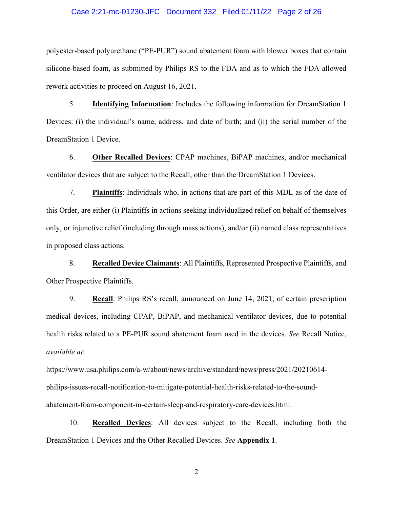#### Case 2:21-mc-01230-JFC Document 332 Filed 01/11/22 Page 2 of 26

polyester-based polyurethane ("PE-PUR") sound abatement foam with blower boxes that contain silicone-based foam, as submitted by Philips RS to the FDA and as to which the FDA allowed rework activities to proceed on August 16, 2021.

5. **Identifying Information**: Includes the following information for DreamStation 1 Devices: (i) the individual's name, address, and date of birth; and (ii) the serial number of the DreamStation 1 Device.

6. **Other Recalled Devices**: CPAP machines, BiPAP machines, and/or mechanical ventilator devices that are subject to the Recall, other than the DreamStation 1 Devices.

7. **Plaintiffs**: Individuals who, in actions that are part of this MDL as of the date of this Order, are either (i) Plaintiffs in actions seeking individualized relief on behalf of themselves only, or injunctive relief (including through mass actions), and/or (ii) named class representatives in proposed class actions.

8. **Recalled Device Claimants**: All Plaintiffs, Represented Prospective Plaintiffs, and Other Prospective Plaintiffs.

9. **Recall**: Philips RS's recall, announced on June 14, 2021, of certain prescription medical devices, including CPAP, BiPAP, and mechanical ventilator devices, due to potential health risks related to a PE-PUR sound abatement foam used in the devices. *See* Recall Notice, *available at*:

https://www.usa.philips.com/a-w/about/news/archive/standard/news/press/2021/20210614 philips-issues-recall-notification-to-mitigate-potential-health-risks-related-to-the-soundabatement-foam-component-in-certain-sleep-and-respiratory-care-devices.html.

10. **Recalled Devices**: All devices subject to the Recall, including both the DreamStation 1 Devices and the Other Recalled Devices. *See* **Appendix 1**.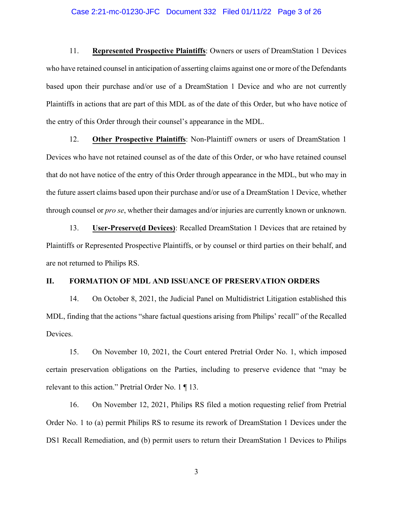#### Case 2:21-mc-01230-JFC Document 332 Filed 01/11/22 Page 3 of 26

11. **Represented Prospective Plaintiffs**: Owners or users of DreamStation 1 Devices who have retained counsel in anticipation of asserting claims against one or more of the Defendants based upon their purchase and/or use of a DreamStation 1 Device and who are not currently Plaintiffs in actions that are part of this MDL as of the date of this Order, but who have notice of the entry of this Order through their counsel's appearance in the MDL.

12. **Other Prospective Plaintiffs**: Non-Plaintiff owners or users of DreamStation 1 Devices who have not retained counsel as of the date of this Order, or who have retained counsel that do not have notice of the entry of this Order through appearance in the MDL, but who may in the future assert claims based upon their purchase and/or use of a DreamStation 1 Device, whether through counsel or *pro se*, whether their damages and/or injuries are currently known or unknown.

13. **User-Preserve(d Devices)**: Recalled DreamStation 1 Devices that are retained by Plaintiffs or Represented Prospective Plaintiffs, or by counsel or third parties on their behalf, and are not returned to Philips RS.

#### **II. FORMATION OF MDL AND ISSUANCE OF PRESERVATION ORDERS**

14. On October 8, 2021, the Judicial Panel on Multidistrict Litigation established this MDL, finding that the actions "share factual questions arising from Philips' recall" of the Recalled Devices.

15. On November 10, 2021, the Court entered Pretrial Order No. 1, which imposed certain preservation obligations on the Parties, including to preserve evidence that "may be relevant to this action." Pretrial Order No. 1 ¶ 13.

16. On November 12, 2021, Philips RS filed a motion requesting relief from Pretrial Order No. 1 to (a) permit Philips RS to resume its rework of DreamStation 1 Devices under the DS1 Recall Remediation, and (b) permit users to return their DreamStation 1 Devices to Philips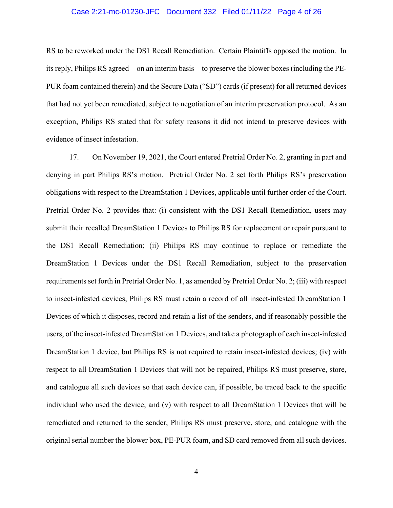#### Case 2:21-mc-01230-JFC Document 332 Filed 01/11/22 Page 4 of 26

RS to be reworked under the DS1 Recall Remediation. Certain Plaintiffs opposed the motion. In its reply, Philips RS agreed—on an interim basis—to preserve the blower boxes (including the PE-PUR foam contained therein) and the Secure Data ("SD") cards (if present) for all returned devices that had not yet been remediated, subject to negotiation of an interim preservation protocol. As an exception, Philips RS stated that for safety reasons it did not intend to preserve devices with evidence of insect infestation.

17. On November 19, 2021, the Court entered Pretrial Order No. 2, granting in part and denying in part Philips RS's motion. Pretrial Order No. 2 set forth Philips RS's preservation obligations with respect to the DreamStation 1 Devices, applicable until further order of the Court. Pretrial Order No. 2 provides that: (i) consistent with the DS1 Recall Remediation, users may submit their recalled DreamStation 1 Devices to Philips RS for replacement or repair pursuant to the DS1 Recall Remediation; (ii) Philips RS may continue to replace or remediate the DreamStation 1 Devices under the DS1 Recall Remediation, subject to the preservation requirements set forth in Pretrial Order No. 1, as amended by Pretrial Order No. 2; (iii) with respect to insect-infested devices, Philips RS must retain a record of all insect-infested DreamStation 1 Devices of which it disposes, record and retain a list of the senders, and if reasonably possible the users, of the insect-infested DreamStation 1 Devices, and take a photograph of each insect-infested DreamStation 1 device, but Philips RS is not required to retain insect-infested devices; (iv) with respect to all DreamStation 1 Devices that will not be repaired, Philips RS must preserve, store, and catalogue all such devices so that each device can, if possible, be traced back to the specific individual who used the device; and (v) with respect to all DreamStation 1 Devices that will be remediated and returned to the sender, Philips RS must preserve, store, and catalogue with the original serial number the blower box, PE-PUR foam, and SD card removed from all such devices.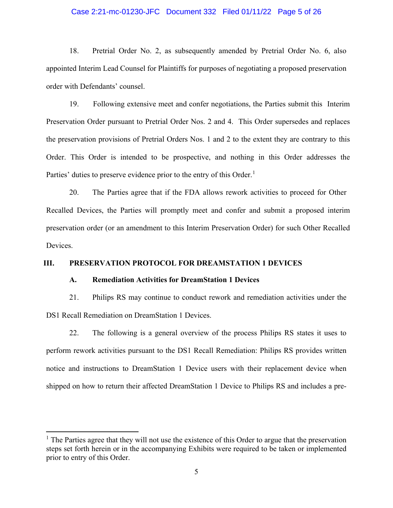#### Case 2:21-mc-01230-JFC Document 332 Filed 01/11/22 Page 5 of 26

18. Pretrial Order No. 2, as subsequently amended by Pretrial Order No. 6, also appointed Interim Lead Counsel for Plaintiffs for purposes of negotiating a proposed preservation order with Defendants' counsel.

19. Following extensive meet and confer negotiations, the Parties submit this Interim Preservation Order pursuant to Pretrial Order Nos. 2 and 4. This Order supersedes and replaces the preservation provisions of Pretrial Orders Nos. 1 and 2 to the extent they are contrary to this Order. This Order is intended to be prospective, and nothing in this Order addresses the Parties' duties to preserve evidence prior to the entry of this Order.<sup>[1](#page-4-0)</sup>

20. The Parties agree that if the FDA allows rework activities to proceed for Other Recalled Devices, the Parties will promptly meet and confer and submit a proposed interim preservation order (or an amendment to this Interim Preservation Order) for such Other Recalled Devices.

### **III. PRESERVATION PROTOCOL FOR DREAMSTATION 1 DEVICES**

#### **A. Remediation Activities for DreamStation 1 Devices**

21. Philips RS may continue to conduct rework and remediation activities under the DS1 Recall Remediation on DreamStation 1 Devices.

22. The following is a general overview of the process Philips RS states it uses to perform rework activities pursuant to the DS1 Recall Remediation: Philips RS provides written notice and instructions to DreamStation 1 Device users with their replacement device when shipped on how to return their affected DreamStation 1 Device to Philips RS and includes a pre-

<span id="page-4-0"></span> $<sup>1</sup>$  The Parties agree that they will not use the existence of this Order to argue that the preservation</sup> steps set forth herein or in the accompanying Exhibits were required to be taken or implemented prior to entry of this Order.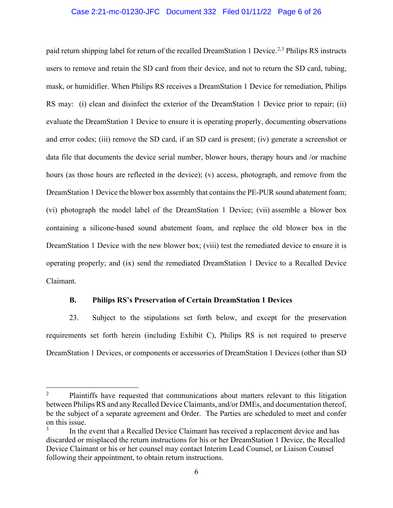#### Case 2:21-mc-01230-JFC Document 332 Filed 01/11/22 Page 6 of 26

paid return shipping label for return of the recalled DreamStation 1 Device.<sup>[2](#page-5-0),[3](#page-5-1)</sup> Philips RS instructs users to remove and retain the SD card from their device, and not to return the SD card, tubing, mask, or humidifier. When Philips RS receives a DreamStation 1 Device for remediation, Philips RS may: (i) clean and disinfect the exterior of the DreamStation 1 Device prior to repair; (ii) evaluate the DreamStation 1 Device to ensure it is operating properly, documenting observations and error codes; (iii) remove the SD card, if an SD card is present; (iv) generate a screenshot or data file that documents the device serial number, blower hours, therapy hours and /or machine hours (as those hours are reflected in the device); (v) access, photograph, and remove from the DreamStation 1 Device the blower box assembly that contains the PE-PUR sound abatement foam; (vi) photograph the model label of the DreamStation 1 Device; (vii) assemble a blower box containing a silicone-based sound abatement foam, and replace the old blower box in the DreamStation 1 Device with the new blower box; (viii) test the remediated device to ensure it is operating properly; and (ix) send the remediated DreamStation 1 Device to a Recalled Device Claimant.

### **B. Philips RS's Preservation of Certain DreamStation 1 Devices**

23. Subject to the stipulations set forth below, and except for the preservation requirements set forth herein (including Exhibit C), Philips RS is not required to preserve DreamStation 1 Devices, or components or accessories of DreamStation 1 Devices (other than SD

<span id="page-5-0"></span><sup>&</sup>lt;sup>2</sup> Plaintiffs have requested that communications about matters relevant to this litigation between Philips RS and any Recalled Device Claimants, and/or DMEs, and documentation thereof, be the subject of a separate agreement and Order. The Parties are scheduled to meet and confer on this issue.

<span id="page-5-1"></span>In the event that a Recalled Device Claimant has received a replacement device and has discarded or misplaced the return instructions for his or her DreamStation 1 Device, the Recalled Device Claimant or his or her counsel may contact Interim Lead Counsel, or Liaison Counsel following their appointment, to obtain return instructions.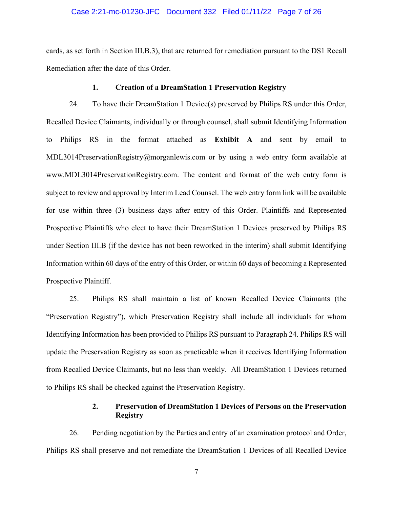#### Case 2:21-mc-01230-JFC Document 332 Filed 01/11/22 Page 7 of 26

cards, as set forth in Section III.B.3), that are returned for remediation pursuant to the DS1 Recall Remediation after the date of this Order.

#### **1. Creation of a DreamStation 1 Preservation Registry**

24. To have their DreamStation 1 Device(s) preserved by Philips RS under this Order, Recalled Device Claimants, individually or through counsel, shall submit Identifying Information to Philips RS in the format attached as **Exhibit A** and sent by email to MDL3014PreservationRegistry@morganlewis.com or by using a web entry form available at www.MDL3014PreservationRegistry.com. The content and format of the web entry form is subject to review and approval by Interim Lead Counsel. The web entry form link will be available for use within three (3) business days after entry of this Order. Plaintiffs and Represented Prospective Plaintiffs who elect to have their DreamStation 1 Devices preserved by Philips RS under Section III.B (if the device has not been reworked in the interim) shall submit Identifying Information within 60 days of the entry of this Order, or within 60 days of becoming a Represented Prospective Plaintiff.

25. Philips RS shall maintain a list of known Recalled Device Claimants (the "Preservation Registry"), which Preservation Registry shall include all individuals for whom Identifying Information has been provided to Philips RS pursuant to Paragraph 24. Philips RS will update the Preservation Registry as soon as practicable when it receives Identifying Information from Recalled Device Claimants, but no less than weekly. All DreamStation 1 Devices returned to Philips RS shall be checked against the Preservation Registry.

## **2. Preservation of DreamStation 1 Devices of Persons on the Preservation Registry**

26. Pending negotiation by the Parties and entry of an examination protocol and Order, Philips RS shall preserve and not remediate the DreamStation 1 Devices of all Recalled Device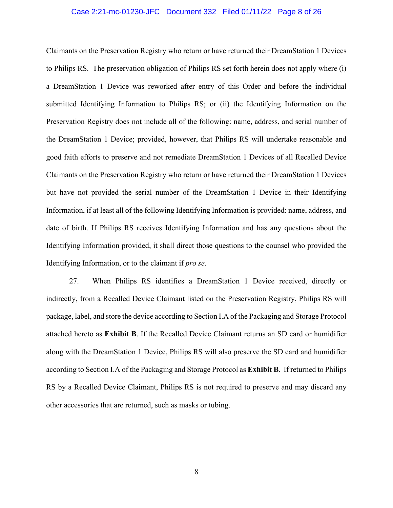#### Case 2:21-mc-01230-JFC Document 332 Filed 01/11/22 Page 8 of 26

Claimants on the Preservation Registry who return or have returned their DreamStation 1 Devices to Philips RS. The preservation obligation of Philips RS set forth herein does not apply where (i) a DreamStation 1 Device was reworked after entry of this Order and before the individual submitted Identifying Information to Philips RS; or (ii) the Identifying Information on the Preservation Registry does not include all of the following: name, address, and serial number of the DreamStation 1 Device; provided, however, that Philips RS will undertake reasonable and good faith efforts to preserve and not remediate DreamStation 1 Devices of all Recalled Device Claimants on the Preservation Registry who return or have returned their DreamStation 1 Devices but have not provided the serial number of the DreamStation 1 Device in their Identifying Information, if at least all of the following Identifying Information is provided: name, address, and date of birth. If Philips RS receives Identifying Information and has any questions about the Identifying Information provided, it shall direct those questions to the counsel who provided the Identifying Information, or to the claimant if *pro se*.

27. When Philips RS identifies a DreamStation 1 Device received, directly or indirectly, from a Recalled Device Claimant listed on the Preservation Registry, Philips RS will package, label, and store the device according to Section I.A of the Packaging and Storage Protocol attached hereto as **Exhibit B**. If the Recalled Device Claimant returns an SD card or humidifier along with the DreamStation 1 Device, Philips RS will also preserve the SD card and humidifier according to Section I.A of the Packaging and Storage Protocol as **Exhibit B**. If returned to Philips RS by a Recalled Device Claimant, Philips RS is not required to preserve and may discard any other accessories that are returned, such as masks or tubing.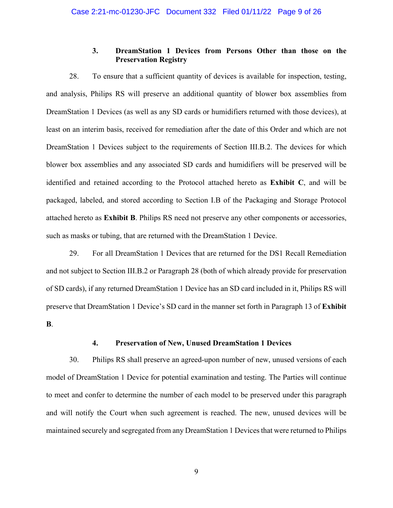### **3. DreamStation 1 Devices from Persons Other than those on the Preservation Registry**

28. To ensure that a sufficient quantity of devices is available for inspection, testing, and analysis, Philips RS will preserve an additional quantity of blower box assemblies from DreamStation 1 Devices (as well as any SD cards or humidifiers returned with those devices), at least on an interim basis, received for remediation after the date of this Order and which are not DreamStation 1 Devices subject to the requirements of Section III.B.2. The devices for which blower box assemblies and any associated SD cards and humidifiers will be preserved will be identified and retained according to the Protocol attached hereto as **Exhibit C**, and will be packaged, labeled, and stored according to Section I.B of the Packaging and Storage Protocol attached hereto as **Exhibit B**. Philips RS need not preserve any other components or accessories, such as masks or tubing, that are returned with the DreamStation 1 Device.

29. For all DreamStation 1 Devices that are returned for the DS1 Recall Remediation and not subject to Section III.B.2 or Paragraph 28 (both of which already provide for preservation of SD cards), if any returned DreamStation 1 Device has an SD card included in it, Philips RS will preserve that DreamStation 1 Device's SD card in the manner set forth in Paragraph 13 of **Exhibit B**.

### **4. Preservation of New, Unused DreamStation 1 Devices**

30. Philips RS shall preserve an agreed-upon number of new, unused versions of each model of DreamStation 1 Device for potential examination and testing. The Parties will continue to meet and confer to determine the number of each model to be preserved under this paragraph and will notify the Court when such agreement is reached. The new, unused devices will be maintained securely and segregated from any DreamStation 1 Devices that were returned to Philips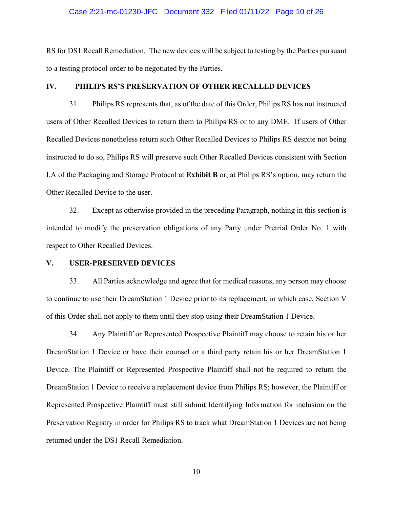#### Case 2:21-mc-01230-JFC Document 332 Filed 01/11/22 Page 10 of 26

RS for DS1 Recall Remediation. The new devices will be subject to testing by the Parties pursuant to a testing protocol order to be negotiated by the Parties.

#### **IV. PHILIPS RS'S PRESERVATION OF OTHER RECALLED DEVICES**

31. Philips RS represents that, as of the date of this Order, Philips RS has not instructed users of Other Recalled Devices to return them to Philips RS or to any DME. If users of Other Recalled Devices nonetheless return such Other Recalled Devices to Philips RS despite not being instructed to do so, Philips RS will preserve such Other Recalled Devices consistent with Section I.A of the Packaging and Storage Protocol at **Exhibit B** or, at Philips RS's option, may return the Other Recalled Device to the user.

32. Except as otherwise provided in the preceding Paragraph, nothing in this section is intended to modify the preservation obligations of any Party under Pretrial Order No. 1 with respect to Other Recalled Devices.

#### **V. USER-PRESERVED DEVICES**

33. All Parties acknowledge and agree that for medical reasons, any person may choose to continue to use their DreamStation 1 Device prior to its replacement, in which case, Section V of this Order shall not apply to them until they stop using their DreamStation 1 Device.

34. Any Plaintiff or Represented Prospective Plaintiff may choose to retain his or her DreamStation 1 Device or have their counsel or a third party retain his or her DreamStation 1 Device. The Plaintiff or Represented Prospective Plaintiff shall not be required to return the DreamStation 1 Device to receive a replacement device from Philips RS; however, the Plaintiff or Represented Prospective Plaintiff must still submit Identifying Information for inclusion on the Preservation Registry in order for Philips RS to track what DreamStation 1 Devices are not being returned under the DS1 Recall Remediation.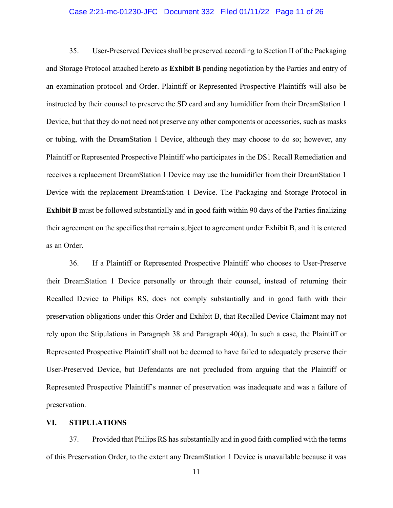#### Case 2:21-mc-01230-JFC Document 332 Filed 01/11/22 Page 11 of 26

35. User-Preserved Devices shall be preserved according to Section II of the Packaging and Storage Protocol attached hereto as **Exhibit B** pending negotiation by the Parties and entry of an examination protocol and Order. Plaintiff or Represented Prospective Plaintiffs will also be instructed by their counsel to preserve the SD card and any humidifier from their DreamStation 1 Device, but that they do not need not preserve any other components or accessories, such as masks or tubing, with the DreamStation 1 Device, although they may choose to do so; however, any Plaintiff or Represented Prospective Plaintiff who participates in the DS1 Recall Remediation and receives a replacement DreamStation 1 Device may use the humidifier from their DreamStation 1 Device with the replacement DreamStation 1 Device. The Packaging and Storage Protocol in **Exhibit B** must be followed substantially and in good faith within 90 days of the Parties finalizing their agreement on the specifics that remain subject to agreement under Exhibit B, and it is entered as an Order.

36. If a Plaintiff or Represented Prospective Plaintiff who chooses to User-Preserve their DreamStation 1 Device personally or through their counsel, instead of returning their Recalled Device to Philips RS, does not comply substantially and in good faith with their preservation obligations under this Order and Exhibit B, that Recalled Device Claimant may not rely upon the Stipulations in Paragraph 38 and Paragraph 40(a). In such a case, the Plaintiff or Represented Prospective Plaintiff shall not be deemed to have failed to adequately preserve their User-Preserved Device, but Defendants are not precluded from arguing that the Plaintiff or Represented Prospective Plaintiff's manner of preservation was inadequate and was a failure of preservation.

#### **VI. STIPULATIONS**

37. Provided that Philips RS has substantially and in good faith complied with the terms of this Preservation Order, to the extent any DreamStation 1 Device is unavailable because it was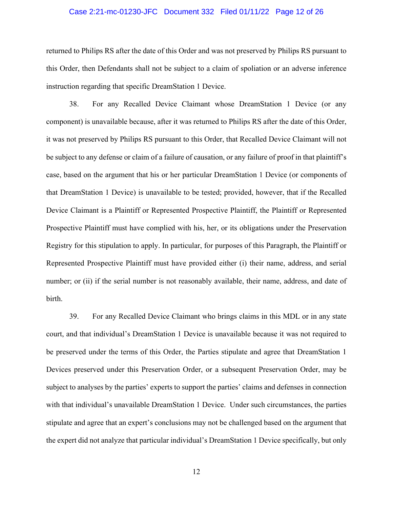#### Case 2:21-mc-01230-JFC Document 332 Filed 01/11/22 Page 12 of 26

returned to Philips RS after the date of this Order and was not preserved by Philips RS pursuant to this Order, then Defendants shall not be subject to a claim of spoliation or an adverse inference instruction regarding that specific DreamStation 1 Device.

38. For any Recalled Device Claimant whose DreamStation 1 Device (or any component) is unavailable because, after it was returned to Philips RS after the date of this Order, it was not preserved by Philips RS pursuant to this Order, that Recalled Device Claimant will not be subject to any defense or claim of a failure of causation, or any failure of proof in that plaintiff's case, based on the argument that his or her particular DreamStation 1 Device (or components of that DreamStation 1 Device) is unavailable to be tested; provided, however, that if the Recalled Device Claimant is a Plaintiff or Represented Prospective Plaintiff, the Plaintiff or Represented Prospective Plaintiff must have complied with his, her, or its obligations under the Preservation Registry for this stipulation to apply. In particular, for purposes of this Paragraph, the Plaintiff or Represented Prospective Plaintiff must have provided either (i) their name, address, and serial number; or (ii) if the serial number is not reasonably available, their name, address, and date of birth.

39. For any Recalled Device Claimant who brings claims in this MDL or in any state court, and that individual's DreamStation 1 Device is unavailable because it was not required to be preserved under the terms of this Order, the Parties stipulate and agree that DreamStation 1 Devices preserved under this Preservation Order, or a subsequent Preservation Order, may be subject to analyses by the parties' experts to support the parties' claims and defenses in connection with that individual's unavailable DreamStation 1 Device. Under such circumstances, the parties stipulate and agree that an expert's conclusions may not be challenged based on the argument that the expert did not analyze that particular individual's DreamStation 1 Device specifically, but only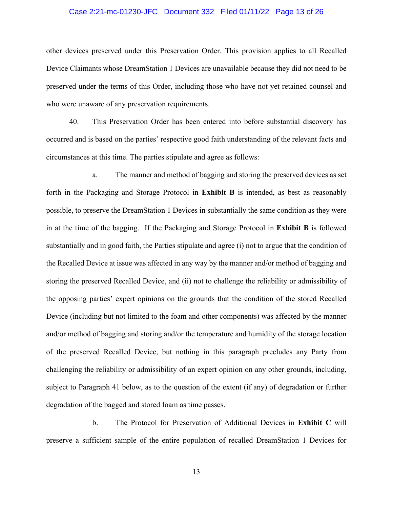#### Case 2:21-mc-01230-JFC Document 332 Filed 01/11/22 Page 13 of 26

other devices preserved under this Preservation Order. This provision applies to all Recalled Device Claimants whose DreamStation 1 Devices are unavailable because they did not need to be preserved under the terms of this Order, including those who have not yet retained counsel and who were unaware of any preservation requirements.

40. This Preservation Order has been entered into before substantial discovery has occurred and is based on the parties' respective good faith understanding of the relevant facts and circumstances at this time. The parties stipulate and agree as follows:

a. The manner and method of bagging and storing the preserved devices as set forth in the Packaging and Storage Protocol in **Exhibit B** is intended, as best as reasonably possible, to preserve the DreamStation 1 Devices in substantially the same condition as they were in at the time of the bagging. If the Packaging and Storage Protocol in **Exhibit B** is followed substantially and in good faith, the Parties stipulate and agree (i) not to argue that the condition of the Recalled Device at issue was affected in any way by the manner and/or method of bagging and storing the preserved Recalled Device, and (ii) not to challenge the reliability or admissibility of the opposing parties' expert opinions on the grounds that the condition of the stored Recalled Device (including but not limited to the foam and other components) was affected by the manner and/or method of bagging and storing and/or the temperature and humidity of the storage location of the preserved Recalled Device, but nothing in this paragraph precludes any Party from challenging the reliability or admissibility of an expert opinion on any other grounds, including, subject to Paragraph 41 below, as to the question of the extent (if any) of degradation or further degradation of the bagged and stored foam as time passes.

b. The Protocol for Preservation of Additional Devices in **Exhibit C** will preserve a sufficient sample of the entire population of recalled DreamStation 1 Devices for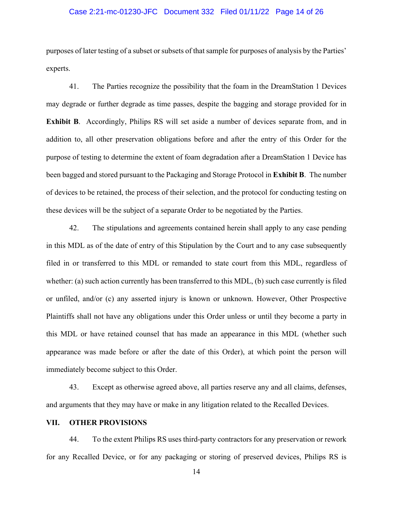#### Case 2:21-mc-01230-JFC Document 332 Filed 01/11/22 Page 14 of 26

purposes of later testing of a subset or subsets of that sample for purposes of analysis by the Parties' experts.

41. The Parties recognize the possibility that the foam in the DreamStation 1 Devices may degrade or further degrade as time passes, despite the bagging and storage provided for in **Exhibit B.** Accordingly, Philips RS will set aside a number of devices separate from, and in addition to, all other preservation obligations before and after the entry of this Order for the purpose of testing to determine the extent of foam degradation after a DreamStation 1 Device has been bagged and stored pursuant to the Packaging and Storage Protocol in **Exhibit B**. The number of devices to be retained, the process of their selection, and the protocol for conducting testing on these devices will be the subject of a separate Order to be negotiated by the Parties.

42. The stipulations and agreements contained herein shall apply to any case pending in this MDL as of the date of entry of this Stipulation by the Court and to any case subsequently filed in or transferred to this MDL or remanded to state court from this MDL, regardless of whether: (a) such action currently has been transferred to this MDL, (b) such case currently is filed or unfiled, and/or (c) any asserted injury is known or unknown. However, Other Prospective Plaintiffs shall not have any obligations under this Order unless or until they become a party in this MDL or have retained counsel that has made an appearance in this MDL (whether such appearance was made before or after the date of this Order), at which point the person will immediately become subject to this Order.

43. Except as otherwise agreed above, all parties reserve any and all claims, defenses, and arguments that they may have or make in any litigation related to the Recalled Devices.

#### **VII. OTHER PROVISIONS**

44. To the extent Philips RS uses third-party contractors for any preservation or rework for any Recalled Device, or for any packaging or storing of preserved devices, Philips RS is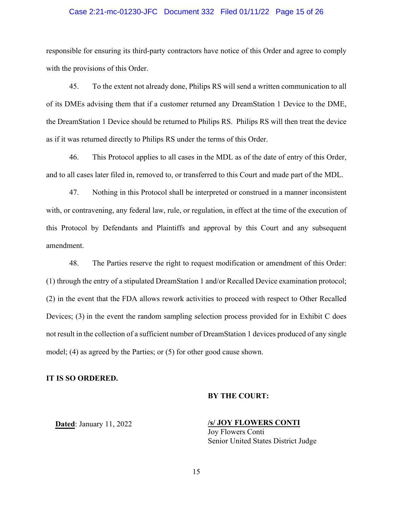#### Case 2:21-mc-01230-JFC Document 332 Filed 01/11/22 Page 15 of 26

responsible for ensuring its third-party contractors have notice of this Order and agree to comply with the provisions of this Order.

45. To the extent not already done, Philips RS will send a written communication to all of its DMEs advising them that if a customer returned any DreamStation 1 Device to the DME, the DreamStation 1 Device should be returned to Philips RS. Philips RS will then treat the device as if it was returned directly to Philips RS under the terms of this Order.

46. This Protocol applies to all cases in the MDL as of the date of entry of this Order, and to all cases later filed in, removed to, or transferred to this Court and made part of the MDL.

47. Nothing in this Protocol shall be interpreted or construed in a manner inconsistent with, or contravening, any federal law, rule, or regulation, in effect at the time of the execution of this Protocol by Defendants and Plaintiffs and approval by this Court and any subsequent amendment.

48. The Parties reserve the right to request modification or amendment of this Order: (1) through the entry of a stipulated DreamStation 1 and/or Recalled Device examination protocol; (2) in the event that the FDA allows rework activities to proceed with respect to Other Recalled Devices; (3) in the event the random sampling selection process provided for in Exhibit C does not result in the collection of a sufficient number of DreamStation 1 devices produced of any single model; (4) as agreed by the Parties; or (5) for other good cause shown.

#### **IT IS SO ORDERED.**

#### **BY THE COURT:**

**Dated**: January 11, 2022

**/s/ JOY FLOWERS CONTI** Joy Flowers Conti Senior United States District Judge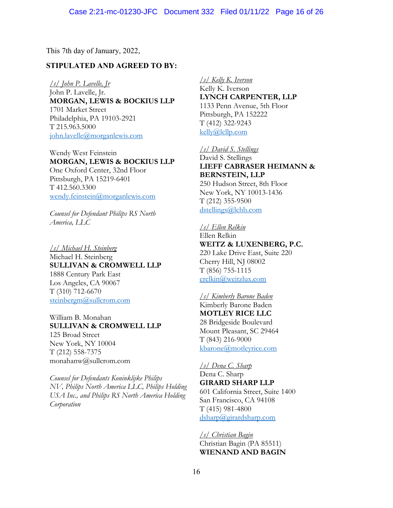This 7th day of January, 2022,

#### **STIPULATED AND AGREED TO BY:**

*/s/ John P. Lavelle, Jr* John P. Lavelle, Jr. **MORGAN, LEWIS & BOCKIUS LLP** 1701 Market Street Philadelphia, PA 19103-2921 T 215.963.5000 [john.lavelle@morganlewis.com](mailto:john.lavelle@morganlewis.com)

Wendy West Feinstein **MORGAN, LEWIS & BOCKIUS LLP**

One Oxford Center, 32nd Floor Pittsburgh, PA 15219-6401 T 412.560.3300 [wendy.feinstein@morganlewis.com](mailto:wendy.feinstein@morganlewis.com)

*Counsel for Defendant Philips RS North America, LLC*

*/s/ Michael H. Steinberg*  Michael H. Steinberg **SULLIVAN & CROMWELL LLP**  1888 Century Park East Los Angeles, CA 90067 T (310) 712-6670 [steinbergm@sullcrom.com](mailto:steinbergm@sullcrom.com)

William B. Monahan **SULLIVAN & CROMWELL LLP**  125 Broad Street New York, NY 10004 T (212) 558-7375 monahanw@sullcrom.com

*Counsel for Defendants Koninklijke Philips NV, Philips North America LLC, Philips Holding USA Inc., and Philips RS North America Holding Corporation*

*/s/ Kelly K. Iverson*

Kelly K. Iverson **LYNCH CARPENTER, LLP**  1133 Penn Avenue, 5th Floor Pittsburgh, PA 152222 T (412) 322-9243 [kelly@lcllp.com](mailto:kelly@lcllp.com)

*/s/ David S. Stellings* David S. Stellings **LIEFF CABRASER HEIMANN & BERNSTEIN, LLP**  250 Hudson Street, 8th Floor New York, NY 10013-1436 T (212) 355-9500 [dstellings@lchb.com](mailto:dstellings@lchb.com)

## */s/ Ellen Relkin*

Ellen Relkin **WEITZ & LUXENBERG, P.C.**  220 Lake Drive East, Suite 220 Cherry Hill, NJ 08002 T (856) 755-1115 [erelkin@weitzlux.com](mailto:erelkin@weitzlux.com)

*/s/ Kimberly Barone Baden* Kimberly Barone Baden **MOTLEY RICE LLC** 28 Bridgeside Boulevard Mount Pleasant, SC 29464 T (843) 216-9000 [kbarone@motleyrice.com](mailto:kbarone@motleyrice.com)

#### */s/ Dena C. Sharp*

Dena C. Sharp **GIRARD SHARP LLP**  601 California Street, Suite 1400 San Francisco, CA 94108 T (415) 981-4800 [dsharp@girardsharp.com](mailto:dsharp@girardsharp.com)

*/s/ Christian Bagin* Christian Bagin (PA 85511) **WIENAND AND BAGIN**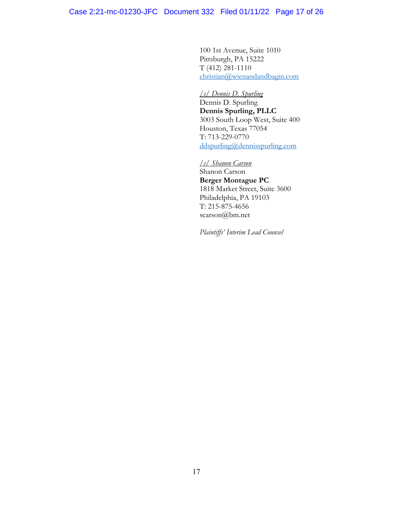100 1st Avenue, Suite 1010 Pittsburgh, PA 15222 T (412) 281-1110 [christian@wienandandbagin.com](mailto:christian@wienandandbagin.com)

*/s/ Dennis D. Spurling* Dennis D. Spurling **Dennis Spurling, PLLC** 3003 South Loop West, Suite 400 Houston, Texas 77054 T: 713-229-0770 [ddspurling@dennisspurling.com](mailto:ddspurling@dennisspurling.com)

*/s/ Shanon Carson* Shanon Carson **Berger Montague PC** 1818 Market Street, Suite 3600 Philadelphia, PA 19103 T: 215-875-4656 scarson@bm.net

*Plaintiffs' Interim Lead Counsel*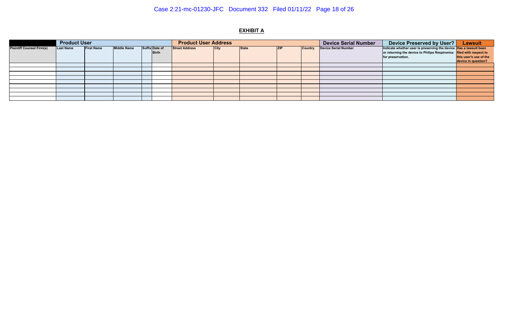# Case 2:21-mc-01230-JFC Document 332 Filed 01/11/22 Page 18 of 26

#### **EXHIBIT A**

|                                  | <b>Product User</b> |                   |                    |  |                | <b>Product User Address</b> |             |              |            |         | Device Serial Number | Device Preserved by User?                                            | <b>Lawsuit</b>         |
|----------------------------------|---------------------|-------------------|--------------------|--|----------------|-----------------------------|-------------|--------------|------------|---------|----------------------|----------------------------------------------------------------------|------------------------|
| <b>Plaintiff Counsel Firm(s)</b> | <b>Last Name</b>    | <b>First Name</b> | <b>Middle Name</b> |  | Suffix Date of | <b>Street Address</b>       | <b>City</b> | <b>State</b> | <b>ZIP</b> | Country | Device Serial Number | Indicate whether user is preserving the device Has a lawsuit been    |                        |
|                                  |                     |                   |                    |  | <b>Birth</b>   |                             |             |              |            |         |                      | or returning the device to Philips Respironics filed with respect to |                        |
|                                  |                     |                   |                    |  |                |                             |             |              |            |         |                      | for preservation.                                                    | this user's use of the |
|                                  |                     |                   |                    |  |                |                             |             |              |            |         |                      |                                                                      | device in question?    |
|                                  |                     |                   |                    |  |                |                             |             |              |            |         |                      |                                                                      |                        |
|                                  |                     |                   |                    |  |                |                             |             |              |            |         |                      |                                                                      |                        |
|                                  |                     |                   |                    |  |                |                             |             |              |            |         |                      |                                                                      |                        |
|                                  |                     |                   |                    |  |                |                             |             |              |            |         |                      |                                                                      |                        |
|                                  |                     |                   |                    |  |                |                             |             |              |            |         |                      |                                                                      |                        |
|                                  |                     |                   |                    |  |                |                             |             |              |            |         |                      |                                                                      |                        |
|                                  |                     |                   |                    |  |                |                             |             |              |            |         |                      |                                                                      |                        |
|                                  |                     |                   |                    |  |                |                             |             |              |            |         |                      |                                                                      |                        |
|                                  |                     |                   |                    |  |                |                             |             |              |            |         |                      |                                                                      |                        |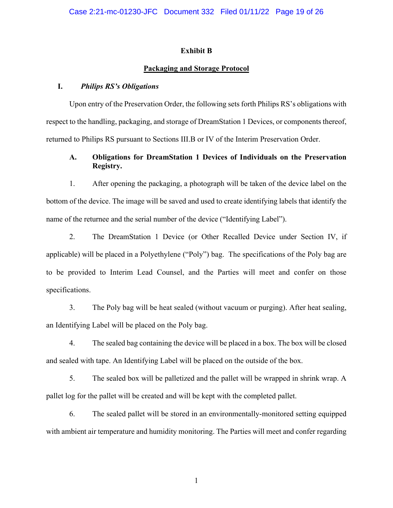## **Exhibit B**

## **Packaging and Storage Protocol**

## **I.** *Philips RS's Obligations*

Upon entry of the Preservation Order, the following sets forth Philips RS's obligations with respect to the handling, packaging, and storage of DreamStation 1 Devices, or components thereof, returned to Philips RS pursuant to Sections III.B or IV of the Interim Preservation Order.

## **A. Obligations for DreamStation 1 Devices of Individuals on the Preservation Registry.**

1. After opening the packaging, a photograph will be taken of the device label on the bottom of the device. The image will be saved and used to create identifying labels that identify the name of the returnee and the serial number of the device ("Identifying Label").

2. The DreamStation 1 Device (or Other Recalled Device under Section IV, if applicable) will be placed in a Polyethylene ("Poly") bag. The specifications of the Poly bag are to be provided to Interim Lead Counsel, and the Parties will meet and confer on those specifications.

3. The Poly bag will be heat sealed (without vacuum or purging). After heat sealing, an Identifying Label will be placed on the Poly bag.

4. The sealed bag containing the device will be placed in a box. The box will be closed and sealed with tape. An Identifying Label will be placed on the outside of the box.

5. The sealed box will be palletized and the pallet will be wrapped in shrink wrap. A pallet log for the pallet will be created and will be kept with the completed pallet.

6. The sealed pallet will be stored in an environmentally-monitored setting equipped with ambient air temperature and humidity monitoring. The Parties will meet and confer regarding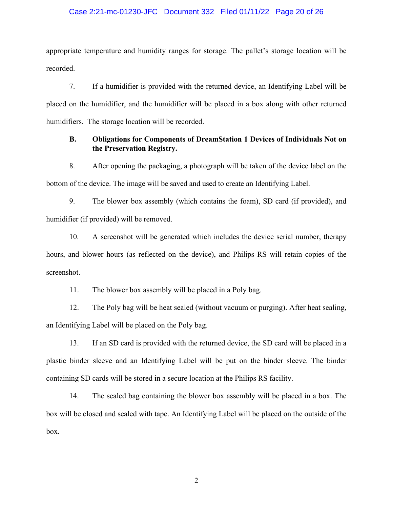#### Case 2:21-mc-01230-JFC Document 332 Filed 01/11/22 Page 20 of 26

appropriate temperature and humidity ranges for storage. The pallet's storage location will be recorded.

7. If a humidifier is provided with the returned device, an Identifying Label will be placed on the humidifier, and the humidifier will be placed in a box along with other returned humidifiers. The storage location will be recorded.

## **B. Obligations for Components of DreamStation 1 Devices of Individuals Not on the Preservation Registry.**

8. After opening the packaging, a photograph will be taken of the device label on the bottom of the device. The image will be saved and used to create an Identifying Label.

9. The blower box assembly (which contains the foam), SD card (if provided), and humidifier (if provided) will be removed.

10. A screenshot will be generated which includes the device serial number, therapy hours, and blower hours (as reflected on the device), and Philips RS will retain copies of the screenshot.

11. The blower box assembly will be placed in a Poly bag.

12. The Poly bag will be heat sealed (without vacuum or purging). After heat sealing, an Identifying Label will be placed on the Poly bag.

13. If an SD card is provided with the returned device, the SD card will be placed in a plastic binder sleeve and an Identifying Label will be put on the binder sleeve. The binder containing SD cards will be stored in a secure location at the Philips RS facility.

14. The sealed bag containing the blower box assembly will be placed in a box. The box will be closed and sealed with tape. An Identifying Label will be placed on the outside of the box.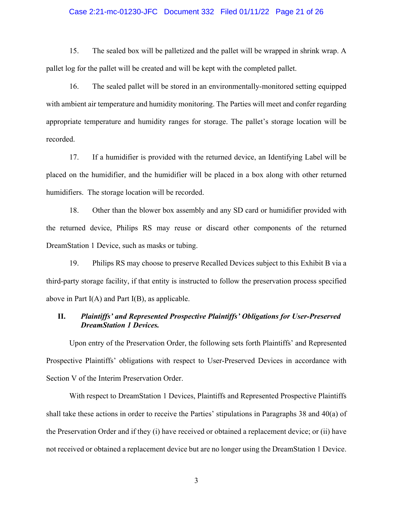#### Case 2:21-mc-01230-JFC Document 332 Filed 01/11/22 Page 21 of 26

15. The sealed box will be palletized and the pallet will be wrapped in shrink wrap. A pallet log for the pallet will be created and will be kept with the completed pallet.

16. The sealed pallet will be stored in an environmentally-monitored setting equipped with ambient air temperature and humidity monitoring. The Parties will meet and confer regarding appropriate temperature and humidity ranges for storage. The pallet's storage location will be recorded.

17. If a humidifier is provided with the returned device, an Identifying Label will be placed on the humidifier, and the humidifier will be placed in a box along with other returned humidifiers. The storage location will be recorded.

18. Other than the blower box assembly and any SD card or humidifier provided with the returned device, Philips RS may reuse or discard other components of the returned DreamStation 1 Device, such as masks or tubing.

19. Philips RS may choose to preserve Recalled Devices subject to this Exhibit B via a third-party storage facility, if that entity is instructed to follow the preservation process specified above in Part  $I(A)$  and Part  $I(B)$ , as applicable.

## **II.** *Plaintiffs' and Represented Prospective Plaintiffs' Obligations for User-Preserved DreamStation 1 Devices.*

Upon entry of the Preservation Order, the following sets forth Plaintiffs' and Represented Prospective Plaintiffs' obligations with respect to User-Preserved Devices in accordance with Section V of the Interim Preservation Order.

With respect to DreamStation 1 Devices, Plaintiffs and Represented Prospective Plaintiffs shall take these actions in order to receive the Parties' stipulations in Paragraphs 38 and 40(a) of the Preservation Order and if they (i) have received or obtained a replacement device; or (ii) have not received or obtained a replacement device but are no longer using the DreamStation 1 Device.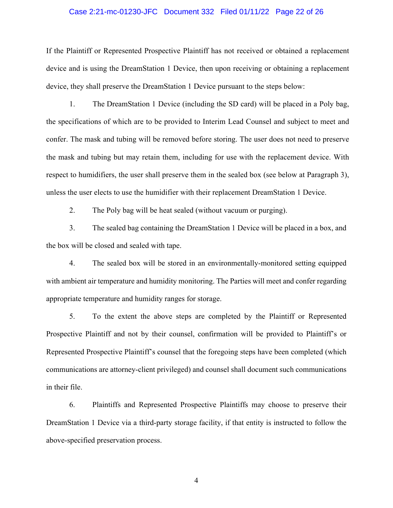#### Case 2:21-mc-01230-JFC Document 332 Filed 01/11/22 Page 22 of 26

If the Plaintiff or Represented Prospective Plaintiff has not received or obtained a replacement device and is using the DreamStation 1 Device, then upon receiving or obtaining a replacement device, they shall preserve the DreamStation 1 Device pursuant to the steps below:

1. The DreamStation 1 Device (including the SD card) will be placed in a Poly bag, the specifications of which are to be provided to Interim Lead Counsel and subject to meet and confer. The mask and tubing will be removed before storing. The user does not need to preserve the mask and tubing but may retain them, including for use with the replacement device. With respect to humidifiers, the user shall preserve them in the sealed box (see below at Paragraph 3), unless the user elects to use the humidifier with their replacement DreamStation 1 Device.

2. The Poly bag will be heat sealed (without vacuum or purging).

3. The sealed bag containing the DreamStation 1 Device will be placed in a box, and the box will be closed and sealed with tape.

4. The sealed box will be stored in an environmentally-monitored setting equipped with ambient air temperature and humidity monitoring. The Parties will meet and confer regarding appropriate temperature and humidity ranges for storage.

5. To the extent the above steps are completed by the Plaintiff or Represented Prospective Plaintiff and not by their counsel, confirmation will be provided to Plaintiff's or Represented Prospective Plaintiff's counsel that the foregoing steps have been completed (which communications are attorney-client privileged) and counsel shall document such communications in their file.

6. Plaintiffs and Represented Prospective Plaintiffs may choose to preserve their DreamStation 1 Device via a third-party storage facility, if that entity is instructed to follow the above-specified preservation process.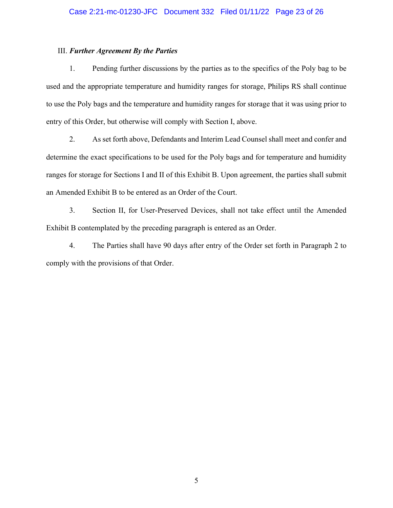#### III. *Further Agreement By the Parties*

1. Pending further discussions by the parties as to the specifics of the Poly bag to be used and the appropriate temperature and humidity ranges for storage, Philips RS shall continue to use the Poly bags and the temperature and humidity ranges for storage that it was using prior to entry of this Order, but otherwise will comply with Section I, above.

2. As set forth above, Defendants and Interim Lead Counsel shall meet and confer and determine the exact specifications to be used for the Poly bags and for temperature and humidity ranges for storage for Sections I and II of this Exhibit B. Upon agreement, the parties shall submit an Amended Exhibit B to be entered as an Order of the Court.

3. Section II, for User-Preserved Devices, shall not take effect until the Amended Exhibit B contemplated by the preceding paragraph is entered as an Order.

4. The Parties shall have 90 days after entry of the Order set forth in Paragraph 2 to comply with the provisions of that Order.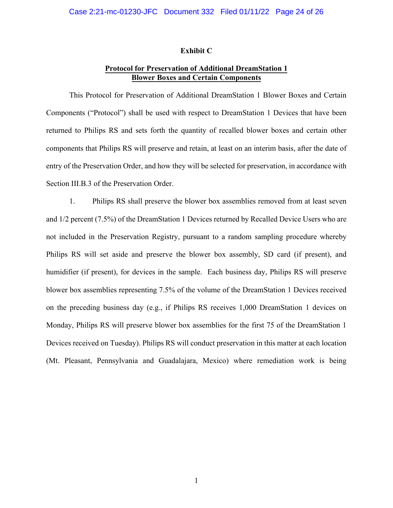#### **Exhibit C**

## **Protocol for Preservation of Additional DreamStation 1 Blower Boxes and Certain Components**

This Protocol for Preservation of Additional DreamStation 1 Blower Boxes and Certain Components ("Protocol") shall be used with respect to DreamStation 1 Devices that have been returned to Philips RS and sets forth the quantity of recalled blower boxes and certain other components that Philips RS will preserve and retain, at least on an interim basis, after the date of entry of the Preservation Order, and how they will be selected for preservation, in accordance with Section III.B.3 of the Preservation Order.

1. Philips RS shall preserve the blower box assemblies removed from at least seven and 1/2 percent (7.5%) of the DreamStation 1 Devices returned by Recalled Device Users who are not included in the Preservation Registry, pursuant to a random sampling procedure whereby Philips RS will set aside and preserve the blower box assembly, SD card (if present), and humidifier (if present), for devices in the sample. Each business day, Philips RS will preserve blower box assemblies representing 7.5% of the volume of the DreamStation 1 Devices received on the preceding business day (e.g., if Philips RS receives 1,000 DreamStation 1 devices on Monday, Philips RS will preserve blower box assemblies for the first 75 of the DreamStation 1 Devices received on Tuesday). Philips RS will conduct preservation in this matter at each location (Mt. Pleasant, Pennsylvania and Guadalajara, Mexico) where remediation work is being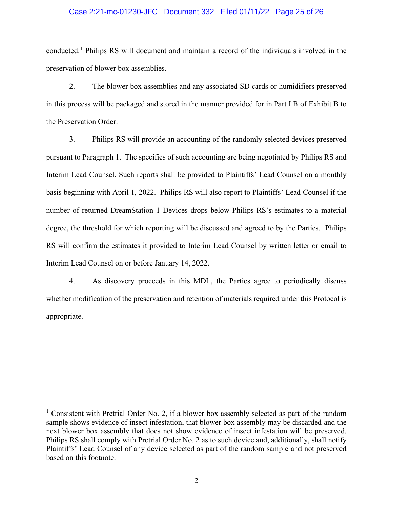#### Case 2:21-mc-01230-JFC Document 332 Filed 01/11/22 Page 25 of 26

conducted.[1](#page-24-0) Philips RS will document and maintain a record of the individuals involved in the preservation of blower box assemblies.

2. The blower box assemblies and any associated SD cards or humidifiers preserved in this process will be packaged and stored in the manner provided for in Part I.B of Exhibit B to the Preservation Order.

3. Philips RS will provide an accounting of the randomly selected devices preserved pursuant to Paragraph 1. The specifics of such accounting are being negotiated by Philips RS and Interim Lead Counsel. Such reports shall be provided to Plaintiffs' Lead Counsel on a monthly basis beginning with April 1, 2022. Philips RS will also report to Plaintiffs' Lead Counsel if the number of returned DreamStation 1 Devices drops below Philips RS's estimates to a material degree, the threshold for which reporting will be discussed and agreed to by the Parties. Philips RS will confirm the estimates it provided to Interim Lead Counsel by written letter or email to Interim Lead Counsel on or before January 14, 2022.

4. As discovery proceeds in this MDL, the Parties agree to periodically discuss whether modification of the preservation and retention of materials required under this Protocol is appropriate.

<span id="page-24-0"></span><sup>&</sup>lt;sup>1</sup> Consistent with Pretrial Order No. 2, if a blower box assembly selected as part of the random sample shows evidence of insect infestation, that blower box assembly may be discarded and the next blower box assembly that does not show evidence of insect infestation will be preserved. Philips RS shall comply with Pretrial Order No. 2 as to such device and, additionally, shall notify Plaintiffs' Lead Counsel of any device selected as part of the random sample and not preserved based on this footnote.